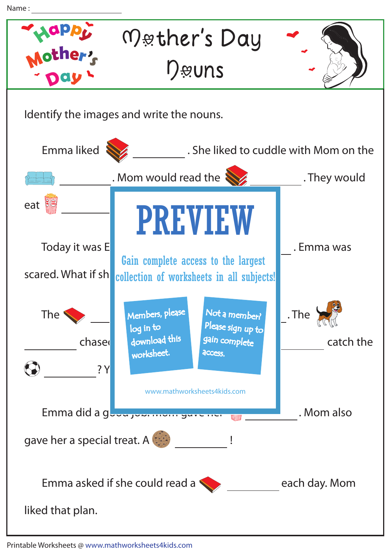